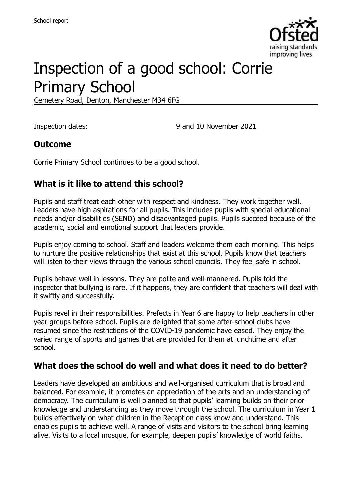

# Inspection of a good school: Corrie Primary School

Cemetery Road, Denton, Manchester M34 6FG

Inspection dates: 9 and 10 November 2021

#### **Outcome**

Corrie Primary School continues to be a good school.

### **What is it like to attend this school?**

Pupils and staff treat each other with respect and kindness. They work together well. Leaders have high aspirations for all pupils. This includes pupils with special educational needs and/or disabilities (SEND) and disadvantaged pupils. Pupils succeed because of the academic, social and emotional support that leaders provide.

Pupils enjoy coming to school. Staff and leaders welcome them each morning. This helps to nurture the positive relationships that exist at this school. Pupils know that teachers will listen to their views through the various school councils. They feel safe in school.

Pupils behave well in lessons. They are polite and well-mannered. Pupils told the inspector that bullying is rare. If it happens, they are confident that teachers will deal with it swiftly and successfully.

Pupils revel in their responsibilities. Prefects in Year 6 are happy to help teachers in other year groups before school. Pupils are delighted that some after-school clubs have resumed since the restrictions of the COVID-19 pandemic have eased. They enjoy the varied range of sports and games that are provided for them at lunchtime and after school.

#### **What does the school do well and what does it need to do better?**

Leaders have developed an ambitious and well-organised curriculum that is broad and balanced. For example, it promotes an appreciation of the arts and an understanding of democracy. The curriculum is well planned so that pupils' learning builds on their prior knowledge and understanding as they move through the school. The curriculum in Year 1 builds effectively on what children in the Reception class know and understand. This enables pupils to achieve well. A range of visits and visitors to the school bring learning alive. Visits to a local mosque, for example, deepen pupils' knowledge of world faiths.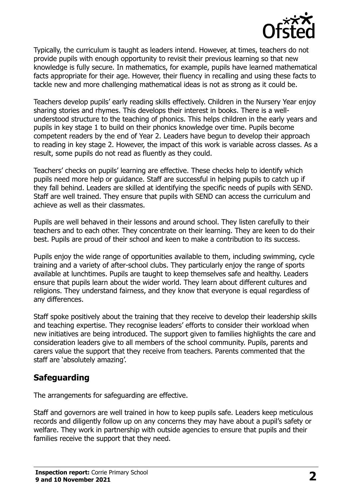

Typically, the curriculum is taught as leaders intend. However, at times, teachers do not provide pupils with enough opportunity to revisit their previous learning so that new knowledge is fully secure. In mathematics, for example, pupils have learned mathematical facts appropriate for their age. However, their fluency in recalling and using these facts to tackle new and more challenging mathematical ideas is not as strong as it could be.

Teachers develop pupils' early reading skills effectively. Children in the Nursery Year enjoy sharing stories and rhymes. This develops their interest in books. There is a wellunderstood structure to the teaching of phonics. This helps children in the early years and pupils in key stage 1 to build on their phonics knowledge over time. Pupils become competent readers by the end of Year 2. Leaders have begun to develop their approach to reading in key stage 2. However, the impact of this work is variable across classes. As a result, some pupils do not read as fluently as they could.

Teachers' checks on pupils' learning are effective. These checks help to identify which pupils need more help or guidance. Staff are successful in helping pupils to catch up if they fall behind. Leaders are skilled at identifying the specific needs of pupils with SEND. Staff are well trained. They ensure that pupils with SEND can access the curriculum and achieve as well as their classmates.

Pupils are well behaved in their lessons and around school. They listen carefully to their teachers and to each other. They concentrate on their learning. They are keen to do their best. Pupils are proud of their school and keen to make a contribution to its success.

Pupils enjoy the wide range of opportunities available to them, including swimming, cycle training and a variety of after-school clubs. They particularly enjoy the range of sports available at lunchtimes. Pupils are taught to keep themselves safe and healthy. Leaders ensure that pupils learn about the wider world. They learn about different cultures and religions. They understand fairness, and they know that everyone is equal regardless of any differences.

Staff spoke positively about the training that they receive to develop their leadership skills and teaching expertise. They recognise leaders' efforts to consider their workload when new initiatives are being introduced. The support given to families highlights the care and consideration leaders give to all members of the school community. Pupils, parents and carers value the support that they receive from teachers. Parents commented that the staff are 'absolutely amazing'.

#### **Safeguarding**

The arrangements for safeguarding are effective.

Staff and governors are well trained in how to keep pupils safe. Leaders keep meticulous records and diligently follow up on any concerns they may have about a pupil's safety or welfare. They work in partnership with outside agencies to ensure that pupils and their families receive the support that they need.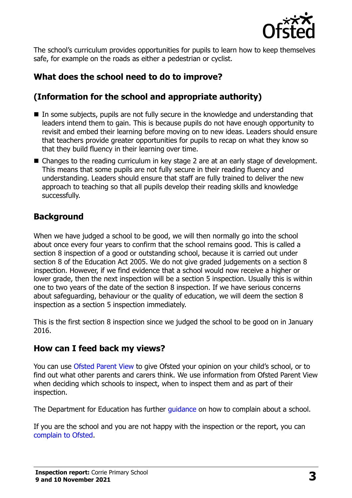

The school's curriculum provides opportunities for pupils to learn how to keep themselves safe, for example on the roads as either a pedestrian or cyclist.

# **What does the school need to do to improve?**

# **(Information for the school and appropriate authority)**

- $\blacksquare$  In some subjects, pupils are not fully secure in the knowledge and understanding that leaders intend them to gain. This is because pupils do not have enough opportunity to revisit and embed their learning before moving on to new ideas. Leaders should ensure that teachers provide greater opportunities for pupils to recap on what they know so that they build fluency in their learning over time.
- Changes to the reading curriculum in key stage 2 are at an early stage of development. This means that some pupils are not fully secure in their reading fluency and understanding. Leaders should ensure that staff are fully trained to deliver the new approach to teaching so that all pupils develop their reading skills and knowledge successfully.

### **Background**

When we have judged a school to be good, we will then normally go into the school about once every four years to confirm that the school remains good. This is called a section 8 inspection of a good or outstanding school, because it is carried out under section 8 of the Education Act 2005. We do not give graded judgements on a section 8 inspection. However, if we find evidence that a school would now receive a higher or lower grade, then the next inspection will be a section 5 inspection. Usually this is within one to two years of the date of the section 8 inspection. If we have serious concerns about safeguarding, behaviour or the quality of education, we will deem the section 8 inspection as a section 5 inspection immediately.

This is the first section 8 inspection since we judged the school to be good on in January 2016.

#### **How can I feed back my views?**

You can use [Ofsted Parent View](https://parentview.ofsted.gov.uk/) to give Ofsted your opinion on your child's school, or to find out what other parents and carers think. We use information from Ofsted Parent View when deciding which schools to inspect, when to inspect them and as part of their inspection.

The Department for Education has further quidance on how to complain about a school.

If you are the school and you are not happy with the inspection or the report, you can [complain to Ofsted.](https://www.gov.uk/complain-ofsted-report)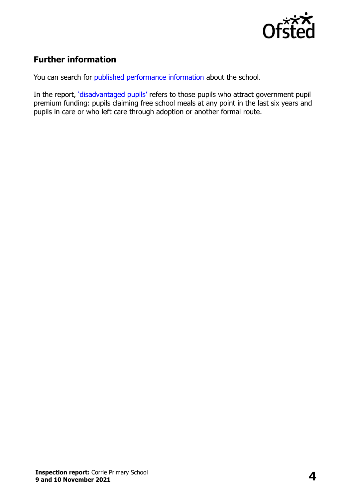

# **Further information**

You can search for [published performance information](http://www.compare-school-performance.service.gov.uk/) about the school.

In the report, '[disadvantaged pupils](http://www.gov.uk/guidance/pupil-premium-information-for-schools-and-alternative-provision-settings)' refers to those pupils who attract government pupil premium funding: pupils claiming free school meals at any point in the last six years and pupils in care or who left care through adoption or another formal route.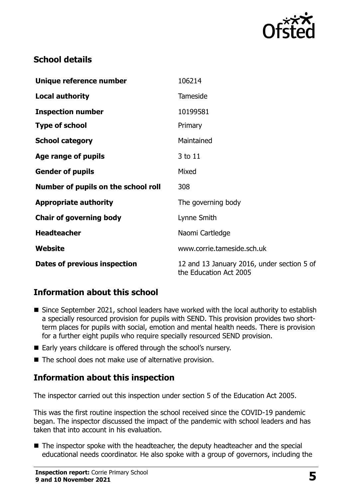

# **School details**

| Unique reference number             | 106214                                                               |
|-------------------------------------|----------------------------------------------------------------------|
| <b>Local authority</b>              | <b>Tameside</b>                                                      |
| <b>Inspection number</b>            | 10199581                                                             |
| <b>Type of school</b>               | Primary                                                              |
| <b>School category</b>              | Maintained                                                           |
| Age range of pupils                 | 3 to 11                                                              |
| <b>Gender of pupils</b>             | Mixed                                                                |
| Number of pupils on the school roll | 308                                                                  |
| <b>Appropriate authority</b>        | The governing body                                                   |
| <b>Chair of governing body</b>      | Lynne Smith                                                          |
| <b>Headteacher</b>                  | Naomi Cartledge                                                      |
| Website                             | www.corrie.tameside.sch.uk                                           |
| Dates of previous inspection        | 12 and 13 January 2016, under section 5 of<br>the Education Act 2005 |

# **Information about this school**

- Since September 2021, school leaders have worked with the local authority to establish a specially resourced provision for pupils with SEND. This provision provides two shortterm places for pupils with social, emotion and mental health needs. There is provision for a further eight pupils who require specially resourced SEND provision.
- Early years childcare is offered through the school's nursery.
- The school does not make use of alternative provision.

# **Information about this inspection**

The inspector carried out this inspection under section 5 of the Education Act 2005.

This was the first routine inspection the school received since the COVID-19 pandemic began. The inspector discussed the impact of the pandemic with school leaders and has taken that into account in his evaluation.

■ The inspector spoke with the headteacher, the deputy headteacher and the special educational needs coordinator. He also spoke with a group of governors, including the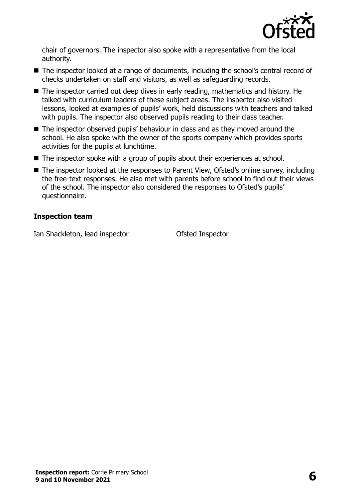

chair of governors. The inspector also spoke with a representative from the local authority.

- The inspector looked at a range of documents, including the school's central record of checks undertaken on staff and visitors, as well as safeguarding records.
- The inspector carried out deep dives in early reading, mathematics and history. He talked with curriculum leaders of these subject areas. The inspector also visited lessons, looked at examples of pupils' work, held discussions with teachers and talked with pupils. The inspector also observed pupils reading to their class teacher.
- The inspector observed pupils' behaviour in class and as they moved around the school. He also spoke with the owner of the sports company which provides sports activities for the pupils at lunchtime.
- The inspector spoke with a group of pupils about their experiences at school.
- The inspector looked at the responses to Parent View, Ofsted's online survey, including the free-text responses. He also met with parents before school to find out their views of the school. The inspector also considered the responses to Ofsted's pupils' questionnaire.

#### **Inspection team**

Ian Shackleton, lead inspector Ofsted Inspector